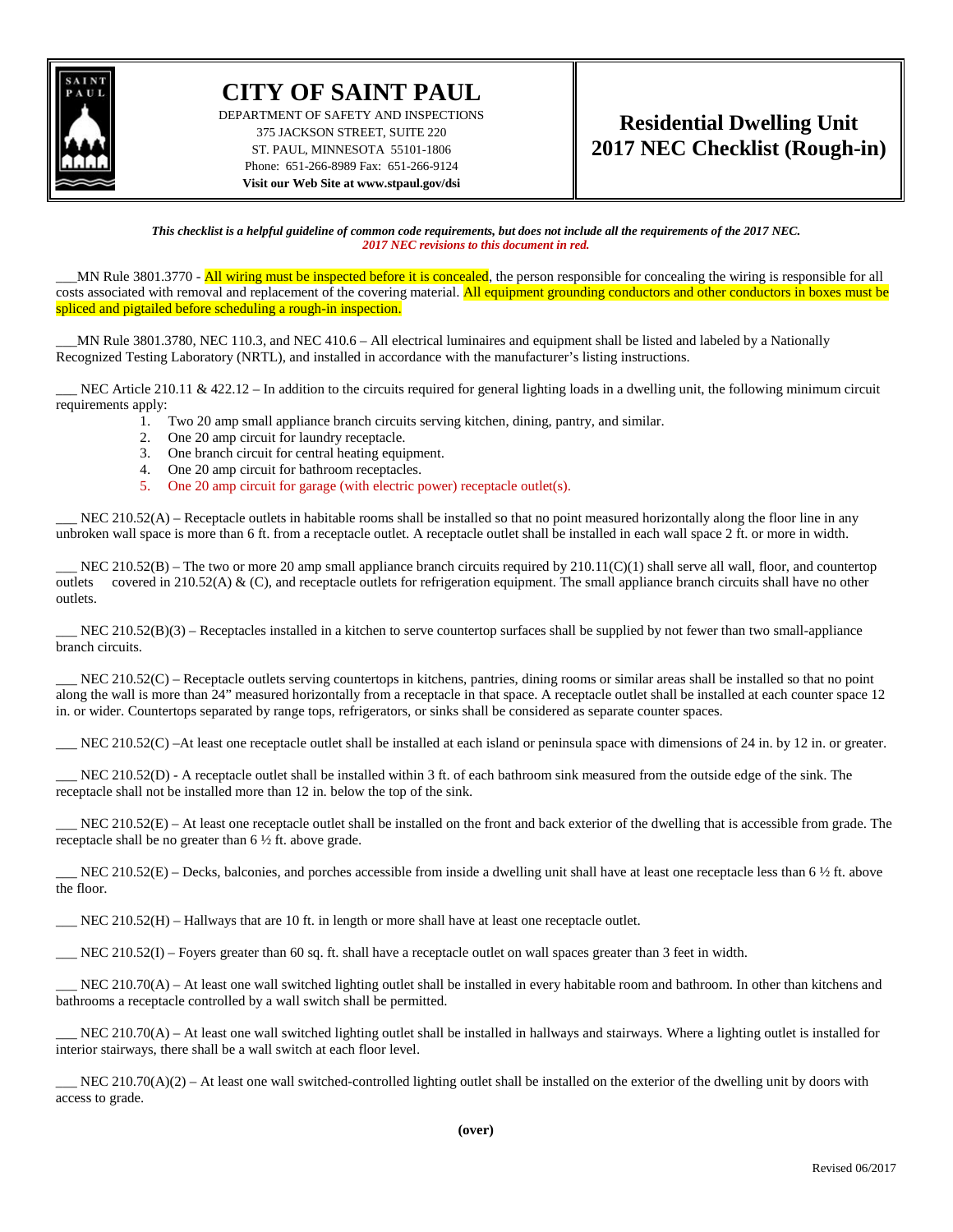

## **CITY OF SAINT PAUL**

DEPARTMENT OF SAFETY AND INSPECTIONS 375 JACKSON STREET, SUITE 220 ST. PAUL, MINNESOTA 55101-1806 Phone: 651-266-8989 Fax: 651-266-9124 **Visit our Web Site at www.stpaul.gov/dsi**

## **Residential Dwelling Unit 2017 NEC Checklist (Rough-in)**

*This checklist is a helpful guideline of common code requirements, but does not include all the requirements of the 2017 NEC. 2017 NEC revisions to this document in red.*

MN Rule 3801.3770 - All wiring must be inspected before it is concealed, the person responsible for concealing the wiring is responsible for all costs associated with removal and replacement of the covering material. All equipment grounding conductors and other conductors in boxes must be spliced and pigtailed before scheduling a rough-in inspection.

\_\_\_MN Rule 3801.3780, NEC 110.3, and NEC 410.6 – All electrical luminaires and equipment shall be listed and labeled by a Nationally Recognized Testing Laboratory (NRTL), and installed in accordance with the manufacturer's listing instructions.

NEC Article 210.11 & 422.12 – In addition to the circuits required for general lighting loads in a dwelling unit, the following minimum circuit requirements apply:

- 1. Two 20 amp small appliance branch circuits serving kitchen, dining, pantry, and similar.
- 2. One 20 amp circuit for laundry receptacle.
- 3. One branch circuit for central heating equipment.
- 4. One 20 amp circuit for bathroom receptacles.
- 5. One 20 amp circuit for garage (with electric power) receptacle outlet(s).

 $NEC 210.52(A)$  – Receptacle outlets in habitable rooms shall be installed so that no point measured horizontally along the floor line in any unbroken wall space is more than 6 ft. from a receptacle outlet. A receptacle outlet shall be installed in each wall space 2 ft. or more in width.

NEC 210.52(B) – The two or more 20 amp small appliance branch circuits required by  $210.11(C)(1)$  shall serve all wall, floor, and countertop outlets covered in 210.52(A)  $\&$  (C), and receptacle outlets for refrigeration equipment. The small appliance branch circuits shall have no other outlets.

 $NEC 210.52(B)(3)$  – Receptacles installed in a kitchen to serve countertop surfaces shall be supplied by not fewer than two small-appliance branch circuits.

NEC 210.52(C) – Receptacle outlets serving countertops in kitchens, pantries, dining rooms or similar areas shall be installed so that no point along the wall is more than 24" measured horizontally from a receptacle in that space. A receptacle outlet shall be installed at each counter space 12 in. or wider. Countertops separated by range tops, refrigerators, or sinks shall be considered as separate counter spaces.

\_\_\_ NEC 210.52(C) –At least one receptacle outlet shall be installed at each island or peninsula space with dimensions of 24 in. by 12 in. or greater.

NEC 210.52(D) - A receptacle outlet shall be installed within 3 ft. of each bathroom sink measured from the outside edge of the sink. The receptacle shall not be installed more than 12 in. below the top of the sink.

 $NEC 210.52(E)$  – At least one receptacle outlet shall be installed on the front and back exterior of the dwelling that is accessible from grade. The receptacle shall be no greater than 6 ½ ft. above grade.

NEC 210.52(E) – Decks, balconies, and porches accessible from inside a dwelling unit shall have at least one receptacle less than 6  $\frac{1}{2}$  ft. above the floor.

NEC  $210.52(H)$  – Hallways that are 10 ft. in length or more shall have at least one receptacle outlet.

 $\_$  NEC 210.52(I) – Foyers greater than 60 sq. ft. shall have a receptacle outlet on wall spaces greater than 3 feet in width.

NEC 210.70(A) – At least one wall switched lighting outlet shall be installed in every habitable room and bathroom. In other than kitchens and bathrooms a receptacle controlled by a wall switch shall be permitted.

NEC 210.70(A) – At least one wall switched lighting outlet shall be installed in hallways and stairways. Where a lighting outlet is installed for interior stairways, there shall be a wall switch at each floor level.

 $NEC 210.70(A)(2)$  – At least one wall switched-controlled lighting outlet shall be installed on the exterior of the dwelling unit by doors with access to grade.